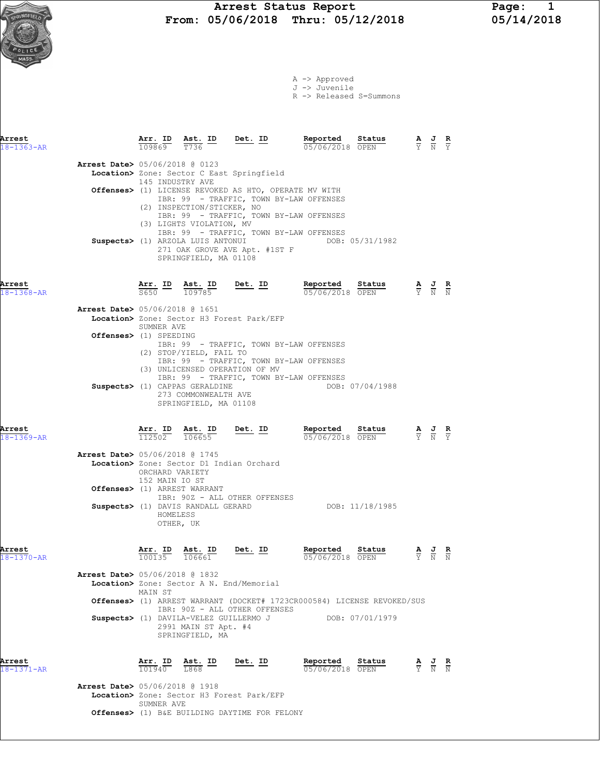A -> Approved J -> Juvenile

R -> Released S=Summons

| Arrest<br>$18 - 1363 - AR$ |                                          | $\frac{\texttt{Arr.}}{109869}$        | Ast. ID<br>T736                                                                   | <u>Det.</u> ID                                                                                                                                                                                                                                                                                            | Reported<br>05/06/2018 OPEN                                             | Status          |                                                                                                 |                                                                                                 |                |
|----------------------------|------------------------------------------|---------------------------------------|-----------------------------------------------------------------------------------|-----------------------------------------------------------------------------------------------------------------------------------------------------------------------------------------------------------------------------------------------------------------------------------------------------------|-------------------------------------------------------------------------|-----------------|-------------------------------------------------------------------------------------------------|-------------------------------------------------------------------------------------------------|----------------|
|                            | Arrest Date> 05/06/2018 @ 0123           | 145 INDUSTRY AVE                      | (2) INSPECTION/STICKER, NO<br>(3) LIGHTS VIOLATION, MV<br>SPRINGFIELD, MA 01108   | Location> Zone: Sector C East Springfield<br>Offenses> (1) LICENSE REVOKED AS HTO, OPERATE MV WITH<br>IBR: 99 - TRAFFIC, TOWN BY-LAW OFFENSES<br>IBR: 99 - TRAFFIC, TOWN BY-LAW OFFENSES<br>IBR: 99 - TRAFFIC, TOWN BY-LAW OFFENSES<br>Suspects> (1) ARZOLA LUIS ANTONUI<br>271 OAK GROVE AVE Apt. #1ST F |                                                                         | DOB: 05/31/1982 |                                                                                                 |                                                                                                 |                |
| Arrest<br>18-1368-AR       |                                          | S650 109785                           | Arr. ID Ast. ID                                                                   | $Det. ID$                                                                                                                                                                                                                                                                                                 | Reported<br>05/06/2018 OPEN                                             | Status          | $\frac{\mathbf{A}}{\mathbf{Y}}$ $\frac{\mathbf{J}}{\mathbf{N}}$ $\frac{\mathbf{R}}{\mathbf{N}}$ |                                                                                                 |                |
|                            | <b>Arrest Date&gt;</b> 05/06/2018 @ 1651 | SUMNER AVE                            |                                                                                   | Location> Zone: Sector H3 Forest Park/EFP                                                                                                                                                                                                                                                                 |                                                                         |                 |                                                                                                 |                                                                                                 |                |
|                            | Offenses> (1) SPEEDING                   |                                       | (2) STOP/YIELD, FAIL TO                                                           | IBR: 99 - TRAFFIC, TOWN BY-LAW OFFENSES<br>IBR: 99 - TRAFFIC, TOWN BY-LAW OFFENSES<br>(3) UNLICENSED OPERATION OF MV                                                                                                                                                                                      |                                                                         |                 |                                                                                                 |                                                                                                 |                |
|                            |                                          |                                       | Suspects> (1) CAPPAS GERALDINE<br>273 COMMONWEALTH AVE<br>SPRINGFIELD, MA 01108   | IBR: 99 - TRAFFIC, TOWN BY-LAW OFFENSES                                                                                                                                                                                                                                                                   |                                                                         | DOB: 07/04/1988 |                                                                                                 |                                                                                                 |                |
| Arrest<br>$18 - 1369 - AR$ |                                          |                                       | $\frac{\texttt{Arr. ID}}{112502}$ $\frac{\texttt{ Ast. ID}}{106655}$              | <u>Det. ID</u>                                                                                                                                                                                                                                                                                            | Repor <u>ted</u> Status<br>05/06/2018 OPEN                              |                 |                                                                                                 |                                                                                                 |                |
|                            | <b>Arrest Date&gt;</b> 05/06/2018 @ 1745 | ORCHARD VARIETY<br>152 MAIN IO ST     | Offenses> (1) ARREST WARRANT                                                      | Location> Zone: Sector D1 Indian Orchard                                                                                                                                                                                                                                                                  |                                                                         |                 |                                                                                                 |                                                                                                 |                |
|                            |                                          | HOMELESS<br>OTHER, UK                 | Suspects> (1) DAVIS RANDALL GERARD                                                | IBR: 90Z - ALL OTHER OFFENSES                                                                                                                                                                                                                                                                             |                                                                         | DOB: 11/18/1985 |                                                                                                 |                                                                                                 |                |
| Arrest<br>18-1370-AR       |                                          | Arr. ID<br>100135                     | Ast. ID<br>106661                                                                 | Det. ID                                                                                                                                                                                                                                                                                                   | Reported<br>05/06/2018 OPEN                                             | Status          | $\frac{\mathbf{A}}{\overline{Y}}$                                                               |                                                                                                 | $\overline{N}$ |
|                            | Arrest Date> 05/06/2018 @ 1832           | MAIN ST                               |                                                                                   | Location> Zone: Sector A N. End/Memorial                                                                                                                                                                                                                                                                  |                                                                         |                 |                                                                                                 |                                                                                                 |                |
|                            |                                          |                                       | Suspects> (1) DAVILA-VELEZ GUILLERMO J<br>2991 MAIN ST Apt. #4<br>SPRINGFIELD, MA | IBR: 90Z - ALL OTHER OFFENSES                                                                                                                                                                                                                                                                             | Offenses> (1) ARREST WARRANT (DOCKET# 1723CR000584) LICENSE REVOKED/SUS | DOB: 07/01/1979 |                                                                                                 |                                                                                                 |                |
| Arrest<br>18-1371-AR       |                                          | $\overline{101940}$ $\overline{1868}$ | Arr. ID Ast. ID                                                                   | $Det. ID$                                                                                                                                                                                                                                                                                                 | Reported<br>05/06/2018 OPEN                                             | Status          |                                                                                                 | $\frac{\mathbf{A}}{\mathbf{Y}}$ $\frac{\mathbf{J}}{\mathbf{N}}$ $\frac{\mathbf{R}}{\mathbf{N}}$ |                |
|                            | Arrest Date> 05/06/2018 @ 1918           | SUMNER AVE                            |                                                                                   | Location> Zone: Sector H3 Forest Park/EFP                                                                                                                                                                                                                                                                 |                                                                         |                 |                                                                                                 |                                                                                                 |                |
|                            |                                          |                                       |                                                                                   | <b>Offenses&gt;</b> (1) B&E BUILDING DAYTIME FOR FELONY                                                                                                                                                                                                                                                   |                                                                         |                 |                                                                                                 |                                                                                                 |                |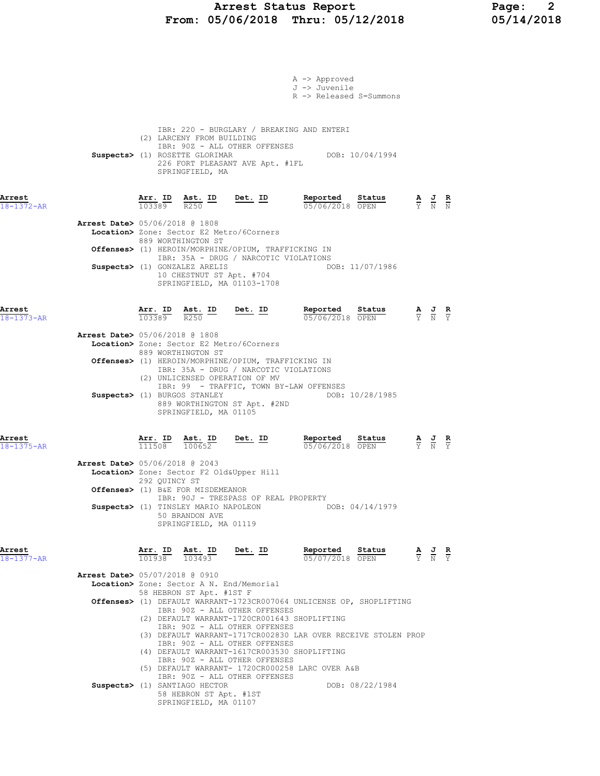### Arrest Status Report Page: 2 From: 05/06/2018 Thru: 05/12/2018 05/14/2018

|                                          |                   |                                                                                                                      |                                                                                                                                | A -> Approved<br>J -> Juvenile<br>R -> Released S=Summons            |                                                                                                 |                                                                                                       |  |
|------------------------------------------|-------------------|----------------------------------------------------------------------------------------------------------------------|--------------------------------------------------------------------------------------------------------------------------------|----------------------------------------------------------------------|-------------------------------------------------------------------------------------------------|-------------------------------------------------------------------------------------------------------|--|
|                                          |                   | (2) LARCENY FROM BUILDING<br>Suspects> (1) ROSETTE GLORIMAR<br>SPRINGFIELD, MA                                       | IBR: 220 - BURGLARY / BREAKING AND ENTERI<br>IBR: 90Z - ALL OTHER OFFENSES<br>226 FORT PLEASANT AVE Apt. #1FL                  | DOB: 10/04/1994                                                      |                                                                                                 |                                                                                                       |  |
| Arrest<br>18-1372-AR                     |                   | $\frac{\texttt{Arr.}}{103389}$ $\frac{\texttt{ Ast.}}{R250}$ $\frac{\texttt{ID}}{R250}$ $\frac{\texttt{Det.}}{R250}$ |                                                                                                                                | Reported Status<br>05/06/2018 OPEN                                   |                                                                                                 | $\frac{\mathbf{A}}{\mathbf{Y}}$ $\frac{\mathbf{J}}{\mathbf{N}}$ $\frac{\mathbf{R}}{\mathbf{N}}$       |  |
| <b>Arrest Date&gt;</b> 05/06/2018 @ 1808 |                   | 889 WORTHINGTON ST                                                                                                   | Location> Zone: Sector E2 Metro/6Corners                                                                                       |                                                                      |                                                                                                 |                                                                                                       |  |
|                                          |                   | Suspects> (1) GONZALEZ ARELIS                                                                                        | Offenses> (1) HEROIN/MORPHINE/OPIUM, TRAFFICKING IN<br>IBR: 35A - DRUG / NARCOTIC VIOLATIONS                                   | DOB: 11/07/1986                                                      |                                                                                                 |                                                                                                       |  |
|                                          |                   | 10 CHESTNUT ST Apt. #704                                                                                             | SPRINGFIELD, MA 01103-1708                                                                                                     |                                                                      |                                                                                                 |                                                                                                       |  |
| Arrest<br>$18 - 1373 - AR$               |                   | Arr. ID Ast. ID<br>103389 R250                                                                                       | <u>Det. ID</u>                                                                                                                 | Reported Status<br>05/06/2018 OPEN                                   |                                                                                                 | $\frac{\mathbf{A}}{\mathbf{Y}}$ $\frac{\mathbf{J}}{\mathbf{N}}$ $\frac{\mathbf{R}}{\mathbf{Y}}$       |  |
| Arrest Date> 05/06/2018 @ 1808           |                   | 889 WORTHINGTON ST                                                                                                   | Location> Zone: Sector E2 Metro/6Corners                                                                                       |                                                                      |                                                                                                 |                                                                                                       |  |
|                                          |                   |                                                                                                                      | Offenses> (1) HEROIN/MORPHINE/OPIUM, TRAFFICKING IN<br>IBR: 35A - DRUG / NARCOTIC VIOLATIONS<br>(2) UNLICENSED OPERATION OF MV |                                                                      |                                                                                                 |                                                                                                       |  |
|                                          |                   | Suspects> (1) BURGOS STANLEY<br>SPRINGFIELD, MA 01105                                                                | IBR: 99 - TRAFFIC, TOWN BY-LAW OFFENSES<br>889 WORTHINGTON ST Apt. #2ND                                                        | DOB: 10/28/1985                                                      |                                                                                                 |                                                                                                       |  |
| Arrest<br>$18 - 1375 - AR$               | Arr. ID<br>111508 | Ast. ID<br>100652                                                                                                    | $Det. ID$                                                                                                                      | Reported<br>Status<br>05/06/2018 OPEN                                |                                                                                                 | $\frac{\mathbf{A}}{\overline{Y}}$ $\frac{\mathbf{J}}{\overline{N}}$ $\frac{\mathbf{R}}{\overline{Y}}$ |  |
| <b>Arrest Date&gt;</b> 05/06/2018 @ 2043 | 292 QUINCY ST     |                                                                                                                      | Location> Zone: Sector F2 Old&Upper Hill                                                                                       |                                                                      |                                                                                                 |                                                                                                       |  |
|                                          |                   | Offenses> (1) B&E FOR MISDEMEANOR<br>50 BRANDON AVE<br>SPRINGFIELD, MA 01119                                         | IBR: 90J - TRESPASS OF REAL PROPERTY                                                                                           | Suspects> (1) TINSLEY MARIO NAPOLEON DOB: 04/14/1979                 |                                                                                                 |                                                                                                       |  |
| Arrest<br>$18 - 1377 - AR$               | Arr. ID           | <u>Ast. ID</u><br>$\overline{101938}$ $\overline{103493}$                                                            | <u>Det. ID</u>                                                                                                                 | Reported<br>Status<br>05/07/2018 OPEN                                | $\frac{\mathbf{A}}{\mathbf{Y}}$ $\frac{\mathbf{J}}{\mathbf{N}}$ $\frac{\mathbf{R}}{\mathbf{Y}}$ |                                                                                                       |  |
| Arrest Date> 05/07/2018 @ 0910           |                   |                                                                                                                      | Location> Zone: Sector A N. End/Memorial                                                                                       |                                                                      |                                                                                                 |                                                                                                       |  |
|                                          |                   | 58 HEBRON ST Apt. #1ST F                                                                                             | IBR: 90Z - ALL OTHER OFFENSES<br>(2) DEFAULT WARRANT-1720CR001643 SHOPLIFTING<br>IBR: 90Z - ALL OTHER OFFENSES                 | Offenses> (1) DEFAULT WARRANT-1723CR007064 UNLICENSE OP, SHOPLIFTING |                                                                                                 |                                                                                                       |  |
|                                          |                   |                                                                                                                      | IBR: 90Z - ALL OTHER OFFENSES<br>(4) DEFAULT WARRANT-1617CR003530 SHOPLIFTING<br>IBR: 90Z - ALL OTHER OFFENSES                 | (3) DEFAULT WARRANT-1717CR002830 LAR OVER RECEIVE STOLEN PROP        |                                                                                                 |                                                                                                       |  |
|                                          |                   | Suspects> (1) SANTIAGO HECTOR                                                                                        | (5) DEFAULT WARRANT- 1720CR000258 LARC OVER A&B<br>IBR: 90Z - ALL OTHER OFFENSES                                               | DOB: 08/22/1984                                                      |                                                                                                 |                                                                                                       |  |
|                                          |                   | 58 HEBRON ST Apt. #1ST<br>SPRINGFIELD, MA 01107                                                                      |                                                                                                                                |                                                                      |                                                                                                 |                                                                                                       |  |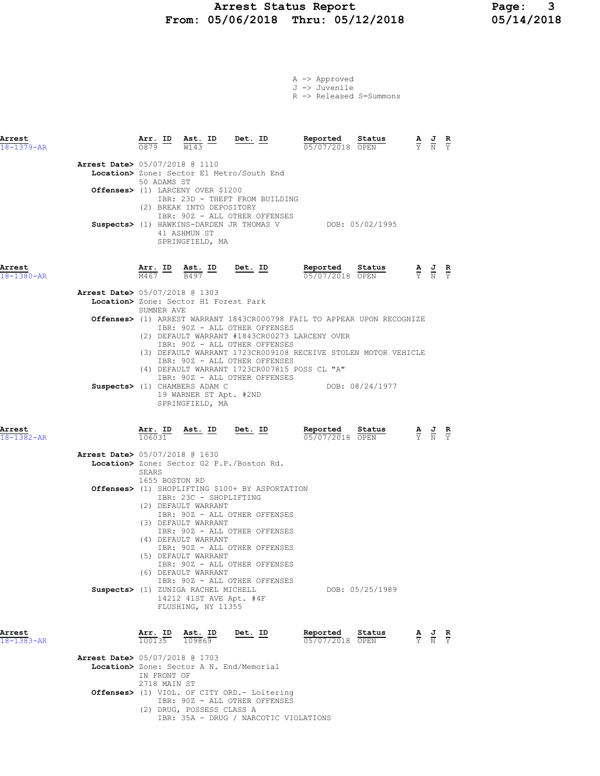### Arrest Status Report 1994 Page: 2018<br>05/06/2018 Thru: 05/12/2018 105/14/2018 From: 05/06/2018 Thru: 05/12/2018

|  | A -> Approved |                         |
|--|---------------|-------------------------|
|  | J -> Juvenile |                         |
|  |               | R -> Released S=Summons |

| Arrest<br>$18 - 1379 - AR$     |             |                                                                            | $\frac{\texttt{Arr.}}{0879}$ ID $\frac{\texttt{ Ast.}}{W143}$ ID Det. ID                                                                                                         | Reported<br>05/07/2018 OPEN                                                                                                                                                                                                                                                                                                                         | Status          | $\frac{\mathbf{A}}{\mathbf{Y}}$ $\frac{\mathbf{J}}{\mathbf{N}}$ $\frac{\mathbf{R}}{\mathbf{Y}}$ |  |
|--------------------------------|-------------|----------------------------------------------------------------------------|----------------------------------------------------------------------------------------------------------------------------------------------------------------------------------|-----------------------------------------------------------------------------------------------------------------------------------------------------------------------------------------------------------------------------------------------------------------------------------------------------------------------------------------------------|-----------------|-------------------------------------------------------------------------------------------------|--|
| Arrest Date> 05/07/2018 @ 1110 | 50 ADAMS ST | Offenses> (1) LARCENY OVER \$1200                                          | Location> Zone: Sector E1 Metro/South End                                                                                                                                        |                                                                                                                                                                                                                                                                                                                                                     |                 |                                                                                                 |  |
|                                |             | (2) BREAK INTO DEPOSITORY<br>41 ASHMUN ST<br>SPRINGFIELD, MA               | IBR: 23D - THEFT FROM BUILDING<br>IBR: 90Z - ALL OTHER OFFENSES                                                                                                                  | Suspects> (1) HAWKINS-DARDEN JR THOMAS V DOB: 05/02/1995                                                                                                                                                                                                                                                                                            |                 |                                                                                                 |  |
| Arrest<br>$18 - 1380 - AR$     | M467 B497   | Arr. ID Ast. ID Det. ID                                                    |                                                                                                                                                                                  | <b>Reported Status A J R</b> $\frac{1}{15}$ <b>A J R</b> $\frac{1}{15}$ <b>R</b> $\frac{1}{15}$ <b>R</b> $\frac{1}{15}$ <b>R</b> $\frac{1}{15}$ <b>R</b> $\frac{1}{15}$ <b>R</b> $\frac{1}{15}$ <b>R</b> $\frac{1}{15}$ <b>R</b> $\frac{1}{15}$ <b>R</b> $\frac{1}{15}$ <b>R</b> $\frac{1}{15}$ <b>R</b> $\frac{1}{15}$ <b>R</b><br>05/07/2018 OPEN |                 |                                                                                                 |  |
| Arrest Date> 05/07/2018 @ 1303 |             |                                                                            |                                                                                                                                                                                  |                                                                                                                                                                                                                                                                                                                                                     |                 |                                                                                                 |  |
|                                |             | Location> Zone: Sector H1 Forest Park                                      |                                                                                                                                                                                  |                                                                                                                                                                                                                                                                                                                                                     |                 |                                                                                                 |  |
|                                | SUMNER AVE  |                                                                            |                                                                                                                                                                                  |                                                                                                                                                                                                                                                                                                                                                     |                 |                                                                                                 |  |
|                                |             |                                                                            | IBR: 90Z - ALL OTHER OFFENSES<br>IBR: 90Z - ALL OTHER OFFENSES<br>IBR: 90Z - ALL OTHER OFFENSES<br>(4) DEFAULT WARRANT 1723CR007815 POSS CL "A"<br>IBR: 90Z - ALL OTHER OFFENSES | Offenses> (1) ARREST WARRANT 1843CR000798 FAIL TO APPEAR UPON RECOGNIZE<br>(2) DEFAULT WARRANT #1843CR00273 LARCENY OVER<br>(3) DEFAULT WARRANT 1723CR009108 RECEIVE STOLEN MOTOR VEHICLE                                                                                                                                                           |                 |                                                                                                 |  |
|                                |             | Suspects> (1) CHAMBERS ADAM C<br>19 WARNER ST Apt. #2ND<br>SPRINGFIELD, MA |                                                                                                                                                                                  |                                                                                                                                                                                                                                                                                                                                                     | DOB: 08/24/1977 |                                                                                                 |  |
| Arrest                         |             |                                                                            | Arr. ID Ast. ID Det. ID                                                                                                                                                          | Reported                                                                                                                                                                                                                                                                                                                                            | Status          | $\underline{A}$ $\underline{J}$ R                                                               |  |

| 18-1382-AR       | 106031                                          | 05/07/2018 OPEN    | Y N Y                                                                                           |  |
|------------------|-------------------------------------------------|--------------------|-------------------------------------------------------------------------------------------------|--|
|                  | <b>Arrest Date&gt; 05/07/2018 @ 1630</b>        |                    |                                                                                                 |  |
|                  | Location> Zone: Sector G2 P.P./Boston Rd.       |                    |                                                                                                 |  |
|                  | SEARS                                           |                    |                                                                                                 |  |
|                  | 1655 BOSTON RD                                  |                    |                                                                                                 |  |
|                  |                                                 |                    |                                                                                                 |  |
|                  | Offenses> (1) SHOPLIFTING \$100+ BY ASPORTATION |                    |                                                                                                 |  |
|                  | IBR: 23C - SHOPLIFTING                          |                    |                                                                                                 |  |
|                  | (2) DEFAULT WARRANT                             |                    |                                                                                                 |  |
|                  | IBR: 90Z - ALL OTHER OFFENSES                   |                    |                                                                                                 |  |
|                  | (3) DEFAULT WARRANT                             |                    |                                                                                                 |  |
|                  | IBR: 90Z - ALL OTHER OFFENSES                   |                    |                                                                                                 |  |
|                  | (4) DEFAULT WARRANT                             |                    |                                                                                                 |  |
|                  | IBR: 90Z - ALL OTHER OFFENSES                   |                    |                                                                                                 |  |
|                  | (5) DEFAULT WARRANT                             |                    |                                                                                                 |  |
|                  | IBR: 90Z - ALL OTHER OFFENSES                   |                    |                                                                                                 |  |
|                  | (6) DEFAULT WARRANT                             |                    |                                                                                                 |  |
|                  | IBR: 90Z - ALL OTHER OFFENSES                   |                    |                                                                                                 |  |
|                  | Suspects> (1) ZUNIGA RACHEL MICHELL             | DOB: 05/25/1989    |                                                                                                 |  |
|                  |                                                 |                    |                                                                                                 |  |
|                  | 14212 41ST AVE Apt. #4F                         |                    |                                                                                                 |  |
|                  | FLUSHING, NY 11355                              |                    |                                                                                                 |  |
|                  |                                                 |                    |                                                                                                 |  |
|                  |                                                 |                    |                                                                                                 |  |
| Arrest           | Arr. ID Ast. ID<br>Det. ID                      | Reported<br>Status | $\frac{\mathbf{A}}{\mathbf{Y}}$ $\frac{\mathbf{J}}{\mathbf{N}}$ $\frac{\mathbf{R}}{\mathbf{Y}}$ |  |
| $18 - 1383 - AR$ | 100135<br>109869                                | 05/07/2018<br>OPEN |                                                                                                 |  |
|                  |                                                 |                    |                                                                                                 |  |

 Arrest Date> 05/07/2018 @ 1703 Location> Zone: Sector A N. End/Memorial IN FRONT OF 2718 MAIN ST Offenses> (1) VIOL. OF CITY ORD.- Loitering IBR: 90Z - ALL OTHER OFFENSES (2) DRUG, POSSESS CLASS A IBR: 35A - DRUG / NARCOTIC VIOLATIONS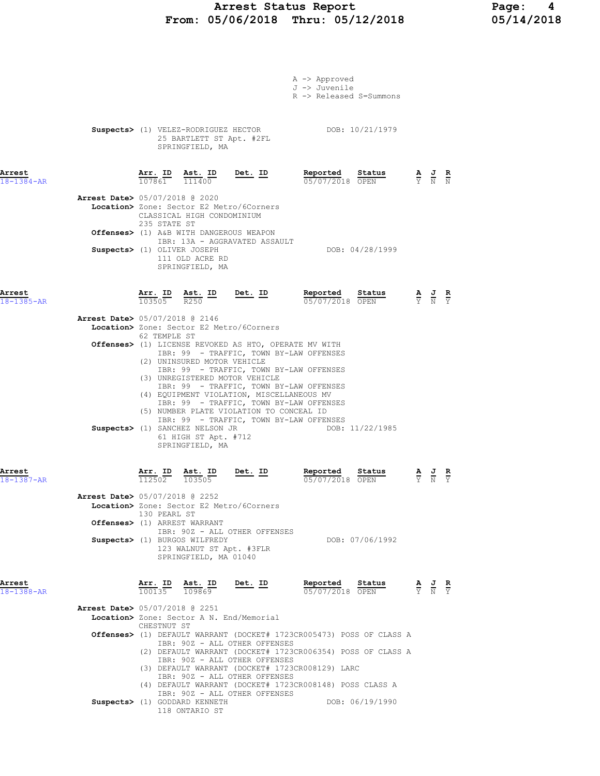### Arrest Status Report Page: 4 From: 05/06/2018 Thru: 05/12/2018 05/14/2018

|                            |                                          |                   |                                                                                    |                                                                                                                         | A -> Approved<br>J -> Juvenile<br>R -> Released S=Summons                                                                                                                                   |        |                                                                 |                                                                                                 |                             |
|----------------------------|------------------------------------------|-------------------|------------------------------------------------------------------------------------|-------------------------------------------------------------------------------------------------------------------------|---------------------------------------------------------------------------------------------------------------------------------------------------------------------------------------------|--------|-----------------------------------------------------------------|-------------------------------------------------------------------------------------------------|-----------------------------|
|                            |                                          |                   | 25 BARTLETT ST Apt. #2FL<br>SPRINGFIELD, MA                                        |                                                                                                                         | Suspects> (1) VELEZ-RODRIGUEZ HECTOR DOB: 10/21/1979                                                                                                                                        |        |                                                                 |                                                                                                 |                             |
| Arrest<br>$18 - 1384 - AR$ |                                          |                   | Arr. ID Ast. ID<br>$\overline{107861}$ $\overline{111400}$                         | Det. ID                                                                                                                 | Reported Status<br>05/07/2018 OPEN                                                                                                                                                          |        |                                                                 | $\frac{\mathbf{A}}{\mathbf{Y}}$ $\frac{\mathbf{J}}{\mathbf{N}}$ $\frac{\mathbf{R}}{\mathbf{N}}$ |                             |
|                            | <b>Arrest Date&gt;</b> 05/07/2018 @ 2020 |                   | CLASSICAL HIGH CONDOMINIUM                                                         | Location> Zone: Sector E2 Metro/6Corners                                                                                |                                                                                                                                                                                             |        |                                                                 |                                                                                                 |                             |
|                            |                                          | 235 STATE ST      | Offenses> (1) A&B WITH DANGEROUS WEAPON                                            | IBR: 13A - AGGRAVATED ASSAULT                                                                                           |                                                                                                                                                                                             |        |                                                                 |                                                                                                 |                             |
|                            | Suspects> (1) OLIVER JOSEPH              |                   | 111 OLD ACRE RD<br>SPRINGFIELD, MA                                                 |                                                                                                                         | DOB: 04/28/1999                                                                                                                                                                             |        |                                                                 |                                                                                                 |                             |
| Arrest<br>18-1385-AR       |                                          | Arr. ID<br>103505 | $\frac{\texttt{Ast.}}{\texttt{R250}}$ ID                                           | <u>Det. ID</u>                                                                                                          | Reported<br>05/07/2018 OPEN                                                                                                                                                                 | Status |                                                                 | $\frac{\mathbf{A}}{\mathbf{Y}}$ $\frac{\mathbf{J}}{\mathbf{N}}$ $\frac{\mathbf{R}}{\mathbf{Y}}$ |                             |
|                            | <b>Arrest Date&gt;</b> 05/07/2018 @ 2146 |                   |                                                                                    | Location> Zone: Sector E2 Metro/6Corners                                                                                |                                                                                                                                                                                             |        |                                                                 |                                                                                                 |                             |
|                            |                                          | 62 TEMPLE ST      |                                                                                    |                                                                                                                         | <b>Offenses&gt;</b> (1) LICENSE REVOKED AS HTO, OPERATE MV WITH                                                                                                                             |        |                                                                 |                                                                                                 |                             |
|                            |                                          |                   | (2) UNINSURED MOTOR VEHICLE                                                        |                                                                                                                         | IBR: 99 - TRAFFIC, TOWN BY-LAW OFFENSES                                                                                                                                                     |        |                                                                 |                                                                                                 |                             |
|                            |                                          |                   | Suspects> (1) SANCHEZ NELSON JR<br>61 HIGH ST Apt. #712<br>SPRINGFIELD, MA         | (3) UNREGISTERED MOTOR VEHICLE<br>(4) EQUIPMENT VIOLATION, MISCELLANEOUS MV<br>(5) NUMBER PLATE VIOLATION TO CONCEAL ID | IBR: 99 - TRAFFIC, TOWN BY-LAW OFFENSES<br>IBR: 99 - TRAFFIC, TOWN BY-LAW OFFENSES<br>IBR: 99 - TRAFFIC, TOWN BY-LAW OFFENSES<br>IBR: 99 - TRAFFIC, TOWN BY-LAW OFFENSES<br>DOB: 11/22/1985 |        |                                                                 |                                                                                                 |                             |
| Arrest<br>18-1387-AR       |                                          | 112502            | Arr. ID Ast. ID<br>103505                                                          | Det. ID                                                                                                                 | Reported<br>05/07/2018 OPEN                                                                                                                                                                 | Status | $\frac{\mathbf{A}}{\mathbf{Y}}$ $\frac{\mathbf{J}}{\mathbf{N}}$ |                                                                                                 | $rac{\mathbf{R}}{\Upsilon}$ |
|                            | Arrest Date> 05/07/2018 @ 2252           | 130 PEARL ST      |                                                                                    | Location> Zone: Sector E2 Metro/6Corners                                                                                |                                                                                                                                                                                             |        |                                                                 |                                                                                                 |                             |
|                            |                                          |                   | Offenses> (1) ARREST WARRANT                                                       | IBR: 90Z - ALL OTHER OFFENSES                                                                                           |                                                                                                                                                                                             |        |                                                                 |                                                                                                 |                             |
|                            |                                          |                   | Suspects> (1) BURGOS WILFREDY<br>123 WALNUT ST Apt. #3FLR<br>SPRINGFIELD, MA 01040 |                                                                                                                         | DOB: 07/06/1992                                                                                                                                                                             |        |                                                                 |                                                                                                 |                             |
| Arrest<br>$18 - 1388 - AR$ |                                          |                   | Arr. ID Ast. ID<br>$\overline{100135}$ $\overline{109869}$                         | Det. ID                                                                                                                 | Reported<br>05/07/2018 OPEN                                                                                                                                                                 | Status |                                                                 | $\frac{\mathbf{A}}{\mathbf{Y}}$ $\frac{\mathbf{J}}{\mathbf{N}}$ $\frac{\mathbf{R}}{\mathbf{Y}}$ |                             |
|                            | <b>Arrest Date&gt; 05/07/2018 @ 2251</b> |                   |                                                                                    | Location> Zone: Sector A N. End/Memorial                                                                                |                                                                                                                                                                                             |        |                                                                 |                                                                                                 |                             |
|                            |                                          | CHESTNUT ST       |                                                                                    |                                                                                                                         | Offenses> (1) DEFAULT WARRANT (DOCKET# 1723CR005473) POSS OF CLASS A                                                                                                                        |        |                                                                 |                                                                                                 |                             |
|                            |                                          |                   |                                                                                    | IBR: 90Z - ALL OTHER OFFENSES                                                                                           | (2) DEFAULT WARRANT (DOCKET# 1723CR006354) POSS OF CLASS A                                                                                                                                  |        |                                                                 |                                                                                                 |                             |
|                            |                                          |                   |                                                                                    | IBR: 90Z - ALL OTHER OFFENSES                                                                                           | (3) DEFAULT WARRANT (DOCKET# 1723CR008129) LARC                                                                                                                                             |        |                                                                 |                                                                                                 |                             |
|                            |                                          |                   |                                                                                    | IBR: 90Z - ALL OTHER OFFENSES<br>IBR: 90Z - ALL OTHER OFFENSES                                                          | (4) DEFAULT WARRANT (DOCKET# 1723CR008148) POSS CLASS A                                                                                                                                     |        |                                                                 |                                                                                                 |                             |
|                            |                                          |                   | Suspects> (1) GODDARD KENNETH<br>118 ONTARIO ST                                    |                                                                                                                         | DOB: 06/19/1990                                                                                                                                                                             |        |                                                                 |                                                                                                 |                             |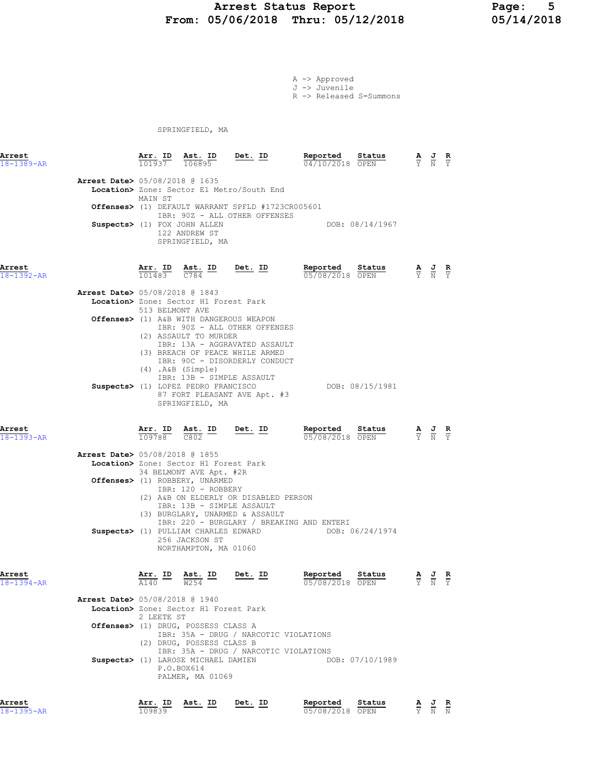## Arrest Status Report 1994 Page: 5<br>15/06/2018 Thru: 05/12/2018 15/14/2018 From: 05/06/2018 Thru: 05/12/2018

A -> Approved J -> Juvenile R -> Released S=Summons

SPRINGFIELD, MA

| Arrest<br>18-1389-AR       |                                          | 101937          | Arr. ID Ast. ID Det. ID<br>106895                                |                                                                                    | Reported<br>Status<br>04/10/2018 OPEN | $\frac{\mathbf{A}}{\mathbf{Y}}$ $\frac{\mathbf{J}}{\mathbf{N}}$ $\frac{\mathbf{R}}{\mathbf{Y}}$ |  |
|----------------------------|------------------------------------------|-----------------|------------------------------------------------------------------|------------------------------------------------------------------------------------|---------------------------------------|-------------------------------------------------------------------------------------------------|--|
|                            | <b>Arrest Date&gt;</b> 05/08/2018 @ 1635 |                 |                                                                  |                                                                                    |                                       |                                                                                                 |  |
|                            |                                          | MAIN ST         |                                                                  | Location> Zone: Sector E1 Metro/South End                                          |                                       |                                                                                                 |  |
|                            |                                          |                 |                                                                  | Offenses> (1) DEFAULT WARRANT SPFLD #1723CR005601<br>IBR: 90Z - ALL OTHER OFFENSES |                                       |                                                                                                 |  |
|                            |                                          |                 | Suspects> (1) FOX JOHN ALLEN<br>122 ANDREW ST<br>SPRINGFIELD, MA |                                                                                    | DOB: 08/14/1967                       |                                                                                                 |  |
| Arrest<br>$18 - 1392 - AR$ |                                          | 101483          | Arr. ID Ast. ID<br>C784                                          | Det. ID                                                                            | Reported<br>Status<br>05/08/2018 OPEN | $\frac{\mathbf{A}}{\mathbf{Y}}$ $\frac{\mathbf{J}}{\mathbf{N}}$ $\frac{\mathbf{R}}{\mathbf{Y}}$ |  |
|                            | <b>Arrest Date&gt;</b> 05/08/2018 @ 1843 | 513 BELMONT AVE | Location> Zone: Sector H1 Forest Park                            |                                                                                    |                                       |                                                                                                 |  |
|                            |                                          |                 | Offenses> (1) A&B WITH DANGEROUS WEAPON                          |                                                                                    |                                       |                                                                                                 |  |

|  | IBR: 90Z - ALL OTHER OFFENSES       |                 |
|--|-------------------------------------|-----------------|
|  | (2) ASSAULT TO MURDER               |                 |
|  | IBR: 13A - AGGRAVATED ASSAULT       |                 |
|  | (3) BREACH OF PEACE WHILE ARMED     |                 |
|  | IBR: 90C - DISORDERLY CONDUCT       |                 |
|  | $(4)$ . A&B $(Simple)$              |                 |
|  | IBR: 13B - SIMPLE ASSAULT           |                 |
|  | Suspects> (1) LOPEZ PEDRO FRANCISCO | DOB: 08/15/1981 |
|  | 87 FORT PLEASANT AVE Apt. #3        |                 |
|  | SPRINGFIELD, MA                     |                 |
|  |                                     |                 |

| Arrest<br>18-1393-AR                                                    | 109788 | Arr. ID Ast. ID<br>C802 | Det. ID                   |                                       | Reported<br>05/08/2018 OPEN               | Status          | $\frac{\mathbf{A}}{\mathrm{Y}}$ $\frac{\mathbf{J}}{\mathrm{N}}$ | R<br>Y |
|-------------------------------------------------------------------------|--------|-------------------------|---------------------------|---------------------------------------|-------------------------------------------|-----------------|-----------------------------------------------------------------|--------|
| Arrest Date> 05/08/2018 @ 1855<br>Location> Zone: Sector H1 Forest Park |        |                         |                           |                                       |                                           |                 |                                                                 |        |
|                                                                         |        |                         | 34 BELMONT AVE Apt. #2R   |                                       |                                           |                 |                                                                 |        |
| <b>Offenses&gt;</b> (1) ROBBERY, UNARMED                                |        | IBR: 120 - ROBBERY      | IBR: 13B - SIMPLE ASSAULT | (2) A&B ON ELDERLY OR DISABLED PERSON |                                           |                 |                                                                 |        |
|                                                                         |        |                         |                           | (3) BURGLARY, UNARMED & ASSAULT       | IBR: 220 - BURGLARY / BREAKING AND ENTERI |                 |                                                                 |        |
| Suspects> (1) PULLIAM CHARLES EDWARD                                    |        | 256 JACKSON ST          | NORTHAMPTON, MA 01060     |                                       |                                           | DOB: 06/24/1974 |                                                                 |        |

| Arrest<br>$18 - 1394 - AR$ |                                          | Arr. ID<br>A140 | Ast. ID<br>W254                                                       | Det. ID                                                                        | Reported<br>05/08/2018 OPEN | Status          | A<br>Y | 프<br>$\overline{N}$ | R<br>Y. |
|----------------------------|------------------------------------------|-----------------|-----------------------------------------------------------------------|--------------------------------------------------------------------------------|-----------------------------|-----------------|--------|---------------------|---------|
|                            | <b>Arrest Date&gt;</b> 05/08/2018 @ 1940 |                 |                                                                       |                                                                                |                             |                 |        |                     |         |
|                            |                                          | 2 LEETE ST      | Location> Zone: Sector H1 Forest Park                                 |                                                                                |                             |                 |        |                     |         |
|                            |                                          | (2)             | Offenses> (1) DRUG, POSSESS CLASS A<br>DRUG, POSSESS CLASS B          | IBR: 35A - DRUG / NARCOTIC VIOLATIONS<br>IBR: 35A - DRUG / NARCOTIC VIOLATIONS |                             |                 |        |                     |         |
|                            |                                          |                 | Suspects> (1) LAROSE MICHAEL DAMIEN<br>P.O.BOX614<br>PALMER, MA 01069 |                                                                                |                             | DOB: 07/10/1989 |        |                     |         |

<mark>Arrest</mark><br>18-1395-AR

| Arrest     | Arr. ID | Ast. ID | ID<br>Det. | Reported        | Status | AJR   |  |
|------------|---------|---------|------------|-----------------|--------|-------|--|
| 18-1395-AR | 109839  |         |            | 05/08/2018 OPEN |        | Y N N |  |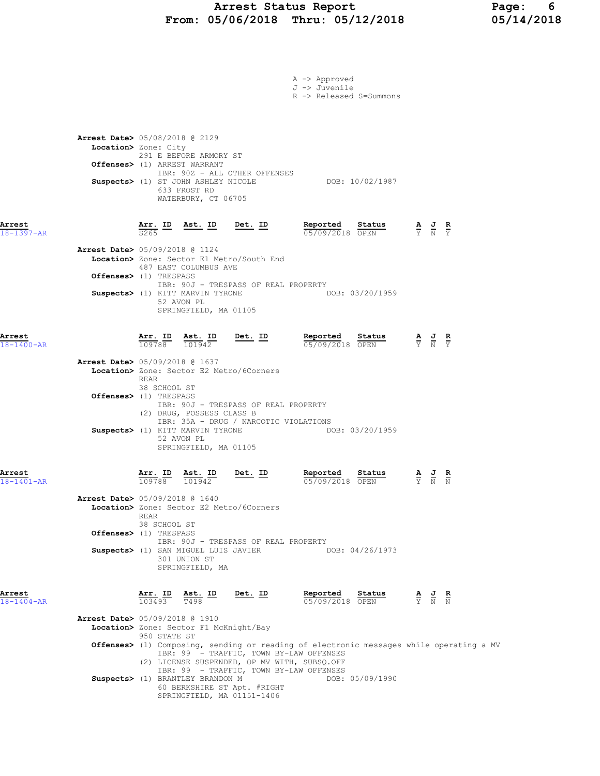|                            |                                                                                                                                                                                                                                           |                                         | A -> Approved<br>J -> Juvenile                                                          |                                                                                                 |
|----------------------------|-------------------------------------------------------------------------------------------------------------------------------------------------------------------------------------------------------------------------------------------|-----------------------------------------|-----------------------------------------------------------------------------------------|-------------------------------------------------------------------------------------------------|
|                            |                                                                                                                                                                                                                                           |                                         | R -> Released S=Summons                                                                 |                                                                                                 |
|                            | <b>Arrest Date&gt;</b> 05/08/2018 @ 2129<br>Location> Zone: City<br>291 E BEFORE ARMORY ST<br>Offenses> (1) ARREST WARRANT<br>IBR: 90Z - ALL OTHER OFFENSES<br>Suspects> (1) ST JOHN ASHLEY NICOLE<br>633 FROST RD<br>WATERBURY, CT 06705 |                                         | DOB: 10/02/1987                                                                         |                                                                                                 |
| Arrest<br>18-1397-AR       | $\frac{\texttt{Arr.}}{\texttt{S265}}$ ID Ast. ID Det. ID                                                                                                                                                                                  |                                         | Reported<br>Status<br>$05/09/2018$ OPEN                                                 | $\frac{\mathbf{A}}{\mathbf{Y}}$ $\frac{\mathbf{J}}{\mathbf{N}}$ $\frac{\mathbf{R}}{\mathbf{Y}}$ |
|                            | Arrest Date> 05/09/2018 @ 1124<br>Location> Zone: Sector E1 Metro/South End<br>487 EAST COLUMBUS AVE<br>Offenses> (1) TRESPASS<br>Suspects> (1) KITT MARVIN TYRONE<br>52 AVON PL<br>SPRINGFIELD, MA 01105                                 | IBR: 90J - TRESPASS OF REAL PROPERTY    | DOB: 03/20/1959                                                                         |                                                                                                 |
| Arrest<br>$18 - 1400 - AR$ | $\frac{\texttt{Arr.}}{109788}$<br>$\frac{\texttt{Ast.}}{101942}$                                                                                                                                                                          | <u>Det. ID</u>                          | Reported<br><u>Status</u><br>05/09/2018 OPEN                                            | $\frac{\mathbf{A}}{\mathbf{Y}}$ $\frac{\mathbf{J}}{\mathbf{N}}$ $\frac{\mathbf{R}}{\mathbf{Y}}$ |
|                            | Arrest Date> 05/09/2018 @ 1637<br>Location> Zone: Sector E2 Metro/6Corners<br>REAR<br>38 SCHOOL ST                                                                                                                                        |                                         |                                                                                         |                                                                                                 |
|                            | Offenses> (1) TRESPASS<br>IBR: 90J - TRESPASS OF REAL PROPERTY<br>(2) DRUG, POSSESS CLASS B<br>Suspects> (1) KITT MARVIN TYRONE<br>52 AVON PL<br>SPRINGFIELD, MA 01105                                                                    | IBR: 35A - DRUG / NARCOTIC VIOLATIONS   | DOB: 03/20/1959                                                                         |                                                                                                 |
| Arrest<br>18-1401-AR       | Arr. ID<br>Ast. ID<br>109788<br>101942                                                                                                                                                                                                    | Det. ID                                 | Reported<br>Status<br>05/09/2018 OPEN                                                   | $rac{\mathbf{R}}{N}$                                                                            |
|                            | <b>Arrest Date&gt;</b> 05/09/2018 @ 1640<br>Location> Zone: Sector E2 Metro/6Corners<br>REAR<br>38 SCHOOL ST                                                                                                                              |                                         |                                                                                         |                                                                                                 |
|                            | Offenses> (1) TRESPASS<br>Suspects> (1) SAN MIGUEL LUIS JAVIER<br>301 UNION ST<br>SPRINGFIELD, MA                                                                                                                                         | IBR: 90J - TRESPASS OF REAL PROPERTY    | DOB: 04/26/1973                                                                         |                                                                                                 |
| Arrest<br>18-1404-AR       | $\frac{\texttt{Arr. ID}}{103493}$ $\frac{\texttt{ Ast. ID}}{T498}$                                                                                                                                                                        | Det. ID                                 | Reported<br>Status<br>05/09/2018 OPEN                                                   | $\frac{\mathbf{A}}{\mathbf{Y}}$ $\frac{\mathbf{J}}{\mathbf{N}}$ $\frac{\mathbf{R}}{\mathbf{N}}$ |
|                            | <b>Arrest Date&gt;</b> 05/09/2018 @ 1910<br>Location> Zone: Sector F1 McKnight/Bay<br>950 STATE ST                                                                                                                                        | IBR: 99 - TRAFFIC, TOWN BY-LAW OFFENSES | Offenses> (1) Composing, sending or reading of electronic messages while operating a MV |                                                                                                 |
|                            | (2) LICENSE SUSPENDED, OP MV WITH, SUBSQ.OFF<br>Suspects> (1) BRANTLEY BRANDON M<br>60 BERKSHIRE ST Apt. #RIGHT<br>SPRINGFIELD, MA 01151-1406                                                                                             | IBR: 99 - TRAFFIC, TOWN BY-LAW OFFENSES | DOB: 05/09/1990                                                                         |                                                                                                 |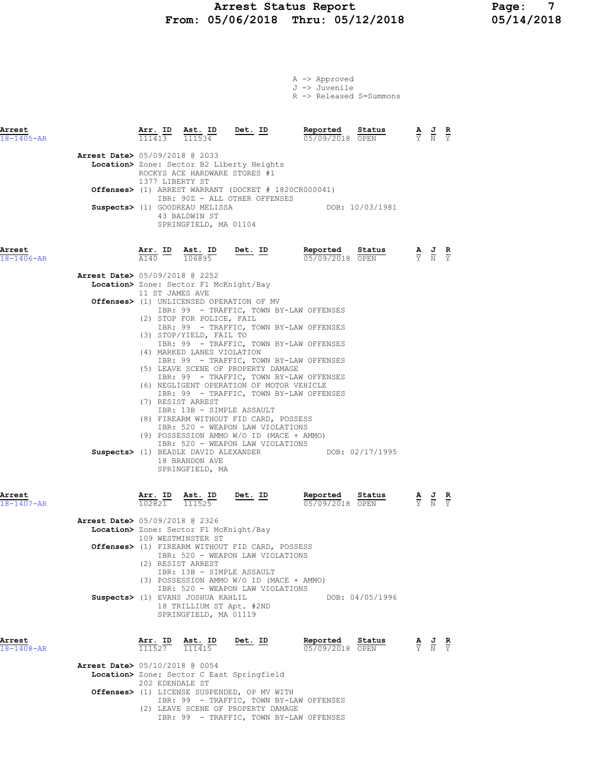### Arrest Status Report 1994 Page: 7<br>19/06/2018 Thru: 05/12/2018 195/14/2018 From: 05/06/2018 Thru: 05/12/2018

A -> Approved J -> Juvenile

|                                                        |                                          |                   |                                                                                                                                                                                                                   |                                                                                                                                                                                                                                                                                         | R -> Released S=Summons                                                                                                                                                                                                                                                           |  |                                                                                                 |  |  |
|--------------------------------------------------------|------------------------------------------|-------------------|-------------------------------------------------------------------------------------------------------------------------------------------------------------------------------------------------------------------|-----------------------------------------------------------------------------------------------------------------------------------------------------------------------------------------------------------------------------------------------------------------------------------------|-----------------------------------------------------------------------------------------------------------------------------------------------------------------------------------------------------------------------------------------------------------------------------------|--|-------------------------------------------------------------------------------------------------|--|--|
| Arrest<br>18-1405-AR                                   |                                          | Arr. ID<br>111413 |                                                                                                                                                                                                                   | $\frac{\texttt{Ast.}}{111534}$ Det. ID                                                                                                                                                                                                                                                  | Reported<br>Status<br>05/09/2018 OPEN                                                                                                                                                                                                                                             |  | $\frac{\mathbf{A}}{\mathbf{Y}}$ $\frac{\mathbf{J}}{\mathbf{N}}$ $\frac{\mathbf{R}}{\mathbf{Y}}$ |  |  |
|                                                        | Arrest Date> 05/09/2018 @ 2033           | 1377 LIBERTY ST   | ROCKYS ACE HARDWARE STORES #1                                                                                                                                                                                     | Location> Zone: Sector B2 Liberty Heights                                                                                                                                                                                                                                               | <b>Offenses&gt;</b> (1) ARREST WARRANT (DOCKET # 1820CR000041)                                                                                                                                                                                                                    |  |                                                                                                 |  |  |
|                                                        |                                          |                   | Suspects> (1) GOODREAU MELISSA<br>43 BALDWIN ST<br>SPRINGFIELD, MA 01104                                                                                                                                          | IBR: 90Z - ALL OTHER OFFENSES                                                                                                                                                                                                                                                           | DOB: 10/03/1981                                                                                                                                                                                                                                                                   |  |                                                                                                 |  |  |
| Arrest<br>18-1406-AR<br>Arrest<br>18-1407-AR<br>Arrest |                                          |                   |                                                                                                                                                                                                                   |                                                                                                                                                                                                                                                                                         | <b>Arr. ID</b> Ast. ID Det. ID Reported $\frac{1440}{0.6895}$ $\frac{106895}{0.570972018}$<br>Status<br>05/09/2018 OPEN                                                                                                                                                           |  | $\frac{\mathbf{A}}{\mathbf{Y}}$ $\frac{\mathbf{J}}{\mathbf{N}}$ $\frac{\mathbf{R}}{\mathbf{Y}}$ |  |  |
|                                                        |                                          |                   | Arrest Date> 05/09/2018 @ 2252<br>Location> Zone: Sector F1 McKnight/Bay<br>11 ST JAMES AVE                                                                                                                       |                                                                                                                                                                                                                                                                                         |                                                                                                                                                                                                                                                                                   |  |                                                                                                 |  |  |
|                                                        |                                          |                   | (2) STOP FOR POLICE, FAIL<br>(3) STOP/YIELD, FAIL TO<br>(4) MARKED LANES VIOLATION<br>(7) RESIST ARREST<br>IBR: 13B - SIMPLE ASSAULT<br>Suspects> (1) BEADLE DAVID ALEXANDER<br>18 BRANDON AVE<br>SPRINGFIELD, MA | Offenses> (1) UNLICENSED OPERATION OF MV<br>(5) LEAVE SCENE OF PROPERTY DAMAGE<br>(6) NEGLIGENT OPERATION OF MOTOR VEHICLE<br>(8) FIREARM WITHOUT FID CARD, POSSESS<br>IBR: 520 - WEAPON LAW VIOLATIONS<br>(9) POSSESSION AMMO W/O ID (MACE + AMMO)<br>IBR: 520 - WEAPON LAW VIOLATIONS | IBR: 99 - TRAFFIC, TOWN BY-LAW OFFENSES<br>IBR: 99 - TRAFFIC, TOWN BY-LAW OFFENSES<br>IBR: 99 - TRAFFIC, TOWN BY-LAW OFFENSES<br>IBR: 99 - TRAFFIC, TOWN BY-LAW OFFENSES<br>IBR: 99 - TRAFFIC, TOWN BY-LAW OFFENSES<br>IBR: 99 - TRAFFIC, TOWN BY-LAW OFFENSES<br>DOB: 02/17/1995 |  |                                                                                                 |  |  |
|                                                        |                                          | Arr. ID<br>102821 | Ast. ID<br>111525                                                                                                                                                                                                 | <u>Det. ID</u>                                                                                                                                                                                                                                                                          | Reported<br>Status<br>05/09/2018 OPEN                                                                                                                                                                                                                                             |  | $\frac{\mathbf{A}}{\mathbf{Y}}$ $\frac{\mathbf{J}}{\mathbf{N}}$                                 |  |  |
|                                                        | Arrest Date> 05/09/2018 @ 2326           |                   | Location> Zone: Sector F1 McKnight/Bay<br>109 WESTMINSTER ST                                                                                                                                                      |                                                                                                                                                                                                                                                                                         |                                                                                                                                                                                                                                                                                   |  |                                                                                                 |  |  |
|                                                        |                                          |                   | (2) RESIST ARREST<br>IBR: 13B - SIMPLE ASSAULT                                                                                                                                                                    | <b>Offenses&gt;</b> (1) FIREARM WITHOUT FID CARD, POSSESS<br>IBR: 520 - WEAPON LAW VIOLATIONS<br>(3) POSSESSION AMMO W/O ID (MACE + AMMO)<br>IBR: 520 - WEAPON LAW VIOLATIONS                                                                                                           |                                                                                                                                                                                                                                                                                   |  |                                                                                                 |  |  |
|                                                        |                                          | Arr. ID           | Suspects> (1) EVANS JOSHUA KAHLIL<br>18 TRILLIUM ST Apt. #2ND<br>SPRINGFIELD, MA 01119<br>Ast. ID                                                                                                                 | Det. ID                                                                                                                                                                                                                                                                                 | DOB: 04/05/1996<br>Reported<br>Status                                                                                                                                                                                                                                             |  | $\frac{\mathbf{A}}{\mathbf{Y}}$ $\frac{\mathbf{J}}{\mathbf{N}}$ $\frac{\mathbf{R}}{\mathbf{Y}}$ |  |  |
| 18-1408-AR                                             | <b>Arrest Date&gt; 05/10/2018 @ 0054</b> | 111527            | 111415                                                                                                                                                                                                            | Location> Zone: Sector C East Springfield                                                                                                                                                                                                                                               | 05/09/2018 OPEN                                                                                                                                                                                                                                                                   |  |                                                                                                 |  |  |
|                                                        |                                          | 202 EDENDALE ST   | Offorsool (1) ITCENCE CHODENDED                                                                                                                                                                                   | טחדות זות מ                                                                                                                                                                                                                                                                             |                                                                                                                                                                                                                                                                                   |  |                                                                                                 |  |  |

Offenses> (1) LICENSE SUSPENDED, OP MV WITH IBR: 99 - TRAFFIC, TOWN BY-LAW OFFENSES (2) LEAVE SCENE OF PROPERTY DAMAGE IBR: 99 - TRAFFIC, TOWN BY-LAW OFFENSES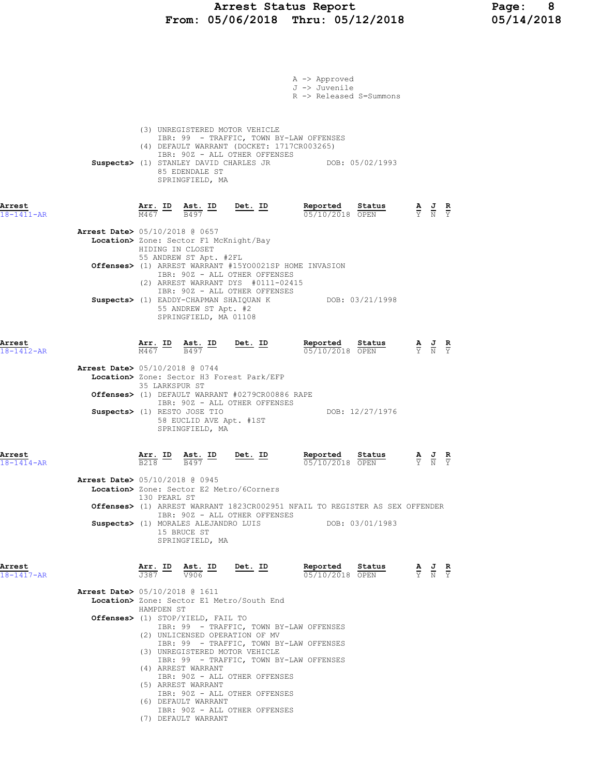### Arrest Status Report Page: 8 From: 05/06/2018 Thru: 05/12/2018 05/14/2018

|                            |                                          |                                      |                                                                                      |                                                                                        | A -> Approved<br>J -> Juvenile<br>R -> Released S=Summons                                                                                       |                                                                                                 |
|----------------------------|------------------------------------------|--------------------------------------|--------------------------------------------------------------------------------------|----------------------------------------------------------------------------------------|-------------------------------------------------------------------------------------------------------------------------------------------------|-------------------------------------------------------------------------------------------------|
|                            |                                          |                                      | 85 EDENDALE ST<br>SPRINGFIELD, MA                                                    | (3) UNREGISTERED MOTOR VEHICLE<br>IBR: 90Z - ALL OTHER OFFENSES                        | IBR: 99 - TRAFFIC, TOWN BY-LAW OFFENSES<br>(4) DEFAULT WARRANT (DOCKET: 1717CR003265)<br>Suspects> (1) STANLEY DAVID CHARLES JR DOB: 05/02/1993 |                                                                                                 |
| Arrest<br>$18 - 1411 - AR$ |                                          |                                      |                                                                                      | $\frac{\texttt{Arr.}}{\text{M467}}$ ID $\frac{\texttt{ Ast.}}{\text{B497}}$ ID Det. ID | Reported Status<br>05/10/2018 OPEN                                                                                                              | $\frac{\mathbf{A}}{\mathbf{Y}}$ $\frac{\mathbf{J}}{\mathbf{N}}$ $\frac{\mathbf{R}}{\mathbf{Y}}$ |
|                            | <b>Arrest Date&gt;</b> 05/10/2018 @ 0657 |                                      | Location> Zone: Sector F1 McKnight/Bay<br>HIDING IN CLOSET<br>55 ANDREW ST Apt. #2FL |                                                                                        |                                                                                                                                                 |                                                                                                 |
|                            |                                          |                                      |                                                                                      | IBR: 90Z - ALL OTHER OFFENSES                                                          | Offenses> (1) ARREST WARRANT #15YO0021SP HOME INVASION                                                                                          |                                                                                                 |
|                            |                                          |                                      | 55 ANDREW ST Apt. #2<br>SPRINGFIELD, MA 01108                                        | (2) ARREST WARRANT DYS #0111-02415<br>IBR: 90Z - ALL OTHER OFFENSES                    | Suspects> (1) EADDY-CHAPMAN SHAIQUAN K DOB: 03/21/1998                                                                                          |                                                                                                 |
| Arrest<br>$18 - 1412 - AR$ |                                          |                                      |                                                                                      | $\frac{\texttt{Arr.}}{\text{M467}}$ ID $\frac{\texttt{ Ast.}}{\text{B497}}$ ID Det. ID | Reported Status<br>05/10/2018 OPEN                                                                                                              | $\frac{\mathbf{A}}{\mathbf{Y}}$ $\frac{\mathbf{J}}{\mathbf{N}}$ $\frac{\mathbf{R}}{\mathbf{Y}}$ |
|                            | Arrest Date> 05/10/2018 @ 0744           | 35 LARKSPUR ST                       |                                                                                      | Location> Zone: Sector H3 Forest Park/EFP                                              |                                                                                                                                                 |                                                                                                 |
|                            |                                          |                                      | Suspects> (1) RESTO JOSE TIO                                                         | Offenses> (1) DEFAULT WARRANT #0279CR00886 RAPE<br>IBR: 90Z - ALL OTHER OFFENSES       | DOB: 12/27/1976                                                                                                                                 |                                                                                                 |
|                            |                                          |                                      | 58 EUCLID AVE Apt. #1ST<br>SPRINGFIELD, MA                                           |                                                                                        |                                                                                                                                                 |                                                                                                 |
| Arrest<br>$18 - 1414 - AR$ |                                          | $\frac{\text{Arr.}}{\text{B218}}$ ID | <u>Ast. ID</u><br>B497                                                               | Det. ID                                                                                | Reported<br>Status<br>05/10/2018 OPEN                                                                                                           | $\frac{\mathbf{A}}{\mathbf{Y}}$ $\frac{\mathbf{J}}{\mathbf{N}}$ $\frac{\mathbf{R}}{\mathbf{Y}}$ |
|                            | <b>Arrest Date&gt;</b> 05/10/2018 @ 0945 | 130 PEARL ST                         |                                                                                      | Location> Zone: Sector E2 Metro/6Corners                                               |                                                                                                                                                 |                                                                                                 |
|                            |                                          |                                      |                                                                                      | IBR: 90Z - ALL OTHER OFFENSES                                                          | Offenses> (1) ARREST WARRANT 1823CR002951 NFAIL TO REGISTER AS SEX OFFENDER<br>Suspects> (1) MORALES ALEJANDRO LUIS DOB: 03/01/1983             |                                                                                                 |
|                            |                                          |                                      | 15 BRUCE ST<br>SPRINGFIELD, MA                                                       |                                                                                        |                                                                                                                                                 |                                                                                                 |
| Arrest<br>$18 - 1417 - AR$ |                                          | $\frac{1387}{906}$                   | Arr. ID Ast. ID Det. ID                                                              |                                                                                        | Reported Status<br>05/10/2018 OPEN                                                                                                              | $\frac{\mathbf{A}}{\mathbf{Y}}$ $\frac{\mathbf{J}}{\mathbf{N}}$ $\frac{\mathbf{R}}{\mathbf{Y}}$ |
|                            | <b>Arrest Date&gt;</b> 05/10/2018 @ 1611 | HAMPDEN ST                           |                                                                                      | Location> Zone: Sector E1 Metro/South End                                              |                                                                                                                                                 |                                                                                                 |
|                            |                                          |                                      | <b>Offenses&gt;</b> (1) STOP/YIELD, FAIL TO                                          | (2) UNLICENSED OPERATION OF MV                                                         | IBR: 99 - TRAFFIC, TOWN BY-LAW OFFENSES                                                                                                         |                                                                                                 |
|                            |                                          |                                      |                                                                                      | (3) UNREGISTERED MOTOR VEHICLE                                                         | IBR: 99 - TRAFFIC, TOWN BY-LAW OFFENSES<br>IBR: 99 - TRAFFIC, TOWN BY-LAW OFFENSES                                                              |                                                                                                 |
|                            |                                          |                                      | (4) ARREST WARRANT                                                                   | IBR: 90Z - ALL OTHER OFFENSES                                                          |                                                                                                                                                 |                                                                                                 |
|                            |                                          |                                      | (5) ARREST WARRANT<br>(6) DEFAULT WARRANT                                            | IBR: 902 - ALL OTHER OFFENSES                                                          |                                                                                                                                                 |                                                                                                 |
|                            |                                          |                                      | (7) DEFAULT WARRANT                                                                  | IBR: 90Z - ALL OTHER OFFENSES                                                          |                                                                                                                                                 |                                                                                                 |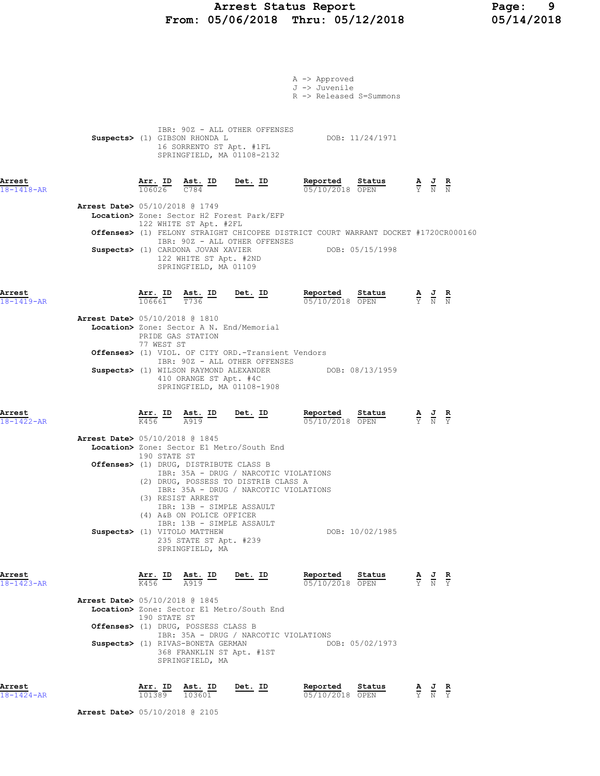# Arrest Status Report Page: 9 From: 05/06/2018 Thru: 05/12/2018

|                            |                                          |                          |                                                                                       |                                                                                                                        | A -> Approved<br>J -> Juvenile<br>R -> Released S=Summons                                                                             |                                                                                                 |  |
|----------------------------|------------------------------------------|--------------------------|---------------------------------------------------------------------------------------|------------------------------------------------------------------------------------------------------------------------|---------------------------------------------------------------------------------------------------------------------------------------|-------------------------------------------------------------------------------------------------|--|
|                            |                                          |                          | Suspects> (1) GIBSON RHONDA L                                                         | IBR: 90Z - ALL OTHER OFFENSES<br>16 SORRENTO ST Apt. #1FL<br>SPRINGFIELD, MA 01108-2132                                | DOB: 11/24/1971                                                                                                                       |                                                                                                 |  |
| Arrest<br>$18 - 1418 - AR$ |                                          |                          |                                                                                       | $\frac{\texttt{Arr. ID}}{106026}$ $\frac{\texttt{Ast. ID}}{C784}$ Det. ID                                              | Reported Status<br>$\frac{\mathbf{A}}{\mathbf{Y}}$ $\frac{\mathbf{J}}{\mathbf{N}}$ $\frac{\mathbf{R}}{\mathbf{N}}$<br>05/10/2018 OPEN |                                                                                                 |  |
|                            | Arrest Date> 05/10/2018 @ 1749           |                          | 122 WHITE ST Apt. #2FL                                                                | Location> Zone: Sector H2 Forest Park/EFP                                                                              |                                                                                                                                       |                                                                                                 |  |
|                            |                                          |                          |                                                                                       | IBR: 90Z - ALL OTHER OFFENSES                                                                                          | Offenses> (1) FELONY STRAIGHT CHICOPEE DISTRICT COURT WARRANT DOCKET #1720CR000160                                                    |                                                                                                 |  |
|                            |                                          |                          | Suspects> (1) CARDONA JOVAN XAVIER<br>122 WHITE ST Apt. #2ND<br>SPRINGFIELD, MA 01109 |                                                                                                                        | DOB: 05/15/1998                                                                                                                       |                                                                                                 |  |
| Arrest<br>$18 - 1419 - AR$ |                                          | <u>Arr. ID</u><br>106661 | $\frac{\texttt{Ast.}}{\texttt{T736}}$ ID                                              | <u>Det. ID</u>                                                                                                         | <b>Reported Status A J R</b> 05/10/2018 OPEN $\frac{1}{Y}$ <b>N N</b>                                                                 |                                                                                                 |  |
|                            | <b>Arrest Date&gt;</b> 05/10/2018 @ 1810 | 77 WEST ST               | PRIDE GAS STATION                                                                     | Location> Zone: Sector A N. End/Memorial                                                                               |                                                                                                                                       |                                                                                                 |  |
|                            |                                          |                          |                                                                                       | Offenses> (1) VIOL. OF CITY ORD.-Transient Vendors<br>IBR: 90Z - ALL OTHER OFFENSES                                    |                                                                                                                                       |                                                                                                 |  |
|                            |                                          |                          | Suspects> (1) WILSON RAYMOND ALEXANDER<br>410 ORANGE ST Apt. #4C                      | SPRINGFIELD, MA 01108-1908                                                                                             | DOB: 08/13/1959                                                                                                                       |                                                                                                 |  |
| Arrest<br>$18 - 1422 - AR$ |                                          |                          | $\frac{\text{Arr.}}{\text{K456}}$ ID $\frac{\text{Ast.}}{\text{A919}}$                | <u>Det. ID</u>                                                                                                         | Reported Status<br>05/10/2018 OPEN                                                                                                    | $\frac{\mathbf{A}}{\mathbf{Y}}$ $\frac{\mathbf{J}}{\mathbf{N}}$ $\frac{\mathbf{R}}{\mathbf{Y}}$ |  |
|                            | <b>Arrest Date&gt; 05/10/2018 @ 1845</b> |                          |                                                                                       | Location> Zone: Sector E1 Metro/South End                                                                              |                                                                                                                                       |                                                                                                 |  |
|                            |                                          | 190 STATE ST             | Offenses> (1) DRUG, DISTRIBUTE CLASS B                                                |                                                                                                                        |                                                                                                                                       |                                                                                                 |  |
|                            |                                          |                          | (3) RESIST ARREST                                                                     | IBR: 35A - DRUG / NARCOTIC VIOLATIONS<br>(2) DRUG, POSSESS TO DISTRIB CLASS A<br>IBR: 35A - DRUG / NARCOTIC VIOLATIONS |                                                                                                                                       |                                                                                                 |  |
|                            |                                          |                          | IBR: 13B - SIMPLE ASSAULT<br>(4) A&B ON POLICE OFFICER                                |                                                                                                                        |                                                                                                                                       |                                                                                                 |  |
|                            |                                          |                          | Suspects> (1) VITOLO MATTHEW<br>235 STATE ST Apt. #239<br>SPRINGFIELD, MA             | IBR: 13B - SIMPLE ASSAULT                                                                                              | DOB: 10/02/1985                                                                                                                       |                                                                                                 |  |
| Arrest<br>$18 - 1423 - AR$ |                                          |                          | $\frac{\texttt{Arr.}}{\text{K456}}$ ID $\frac{\texttt{ Ast.}}{\text{A919}}$ ID        | <u>Det. ID</u>                                                                                                         | Reported Status<br>05/10/2018 OPEN                                                                                                    | $\frac{\mathbf{A}}{\mathbf{Y}}$ $\frac{\mathbf{J}}{\mathbf{N}}$ $\frac{\mathbf{R}}{\mathbf{Y}}$ |  |
|                            | <b>Arrest Date&gt; 05/10/2018 @ 1845</b> |                          |                                                                                       | Location> Zone: Sector E1 Metro/South End                                                                              |                                                                                                                                       |                                                                                                 |  |
|                            |                                          | 190 STATE ST             | Offenses> (1) DRUG, POSSESS CLASS B                                                   |                                                                                                                        |                                                                                                                                       |                                                                                                 |  |
|                            |                                          |                          | Suspects> (1) RIVAS-BONETA GERMAN<br>SPRINGFIELD, MA                                  | IBR: 35A - DRUG / NARCOTIC VIOLATIONS<br>368 FRANKLIN ST Apt. #1ST                                                     | DOB: 05/02/1973                                                                                                                       |                                                                                                 |  |
| Arrest<br>$18 - 1424 - AR$ |                                          |                          | $rac{1}{101389}$ Ast. ID                                                              | $Det. ID$                                                                                                              | Reported<br><b>R</b><br>$\frac{\text{keportea}}{05/10/2018}$ Status $\frac{A}{Y}$ $\frac{J}{N}$ $\frac{R}{Y}$                         |                                                                                                 |  |
|                            | <b>Arrest Date&gt;</b> 05/10/2018 @ 2105 |                          |                                                                                       |                                                                                                                        |                                                                                                                                       |                                                                                                 |  |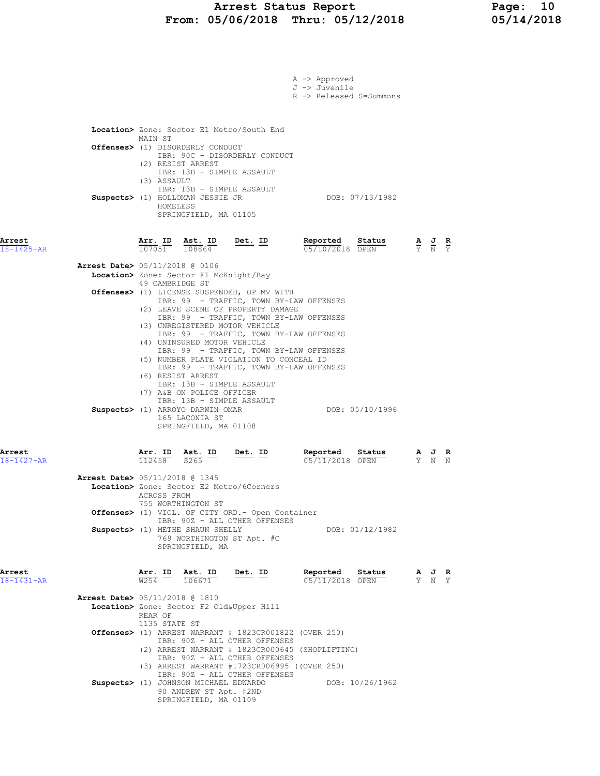### Arrest Status Report Page: 10 From: 05/06/2018 Thru: 05/12/2018 05/14/2018

|                            | A -> Approved<br>J -> Juvenile<br>R -> Released S=Summons                                                                                                                                                                                                                                                                                                                                    |                             |                                                                                                 |  |
|----------------------------|----------------------------------------------------------------------------------------------------------------------------------------------------------------------------------------------------------------------------------------------------------------------------------------------------------------------------------------------------------------------------------------------|-----------------------------|-------------------------------------------------------------------------------------------------|--|
|                            | Location> Zone: Sector E1 Metro/South End<br>MAIN ST<br>Offenses> (1) DISORDERLY CONDUCT<br>IBR: 90C - DISORDERLY CONDUCT<br>(2) RESIST ARREST<br>IBR: 13B - SIMPLE ASSAULT<br>(3) ASSAULT<br>IBR: 13B - SIMPLE ASSAULT<br>DOB: 07/13/1982<br>Suspects> (1) HOLLOMAN JESSIE JR<br>HOMELESS<br>SPRINGFIELD, MA 01105                                                                          |                             |                                                                                                 |  |
| Arrest<br>18-1425-AR       | Det. ID<br>Reported<br>$\frac{\texttt{Arr.}}{107051}$ $\frac{\texttt{ Ast.}}{108864}$<br>Status<br>05/10/2018 OPEN                                                                                                                                                                                                                                                                           | $\frac{A}{Y}$ $\frac{J}{N}$ |                                                                                                 |  |
|                            | Arrest Date> 05/11/2018 @ 0106<br>Location> Zone: Sector F1 McKnight/Bay<br>49 CAMBRIDGE ST<br>Offenses> (1) LICENSE SUSPENDED, OP MV WITH<br>IBR: 99 - TRAFFIC, TOWN BY-LAW OFFENSES<br>(2) LEAVE SCENE OF PROPERTY DAMAGE<br>IBR: 99 - TRAFFIC, TOWN BY-LAW OFFENSES<br>(3) UNREGISTERED MOTOR VEHICLE<br>IBR: 99 - TRAFFIC, TOWN BY-LAW OFFENSES<br>(4) UNINSURED MOTOR VEHICLE           |                             |                                                                                                 |  |
|                            | IBR: 99 - TRAFFIC, TOWN BY-LAW OFFENSES<br>(5) NUMBER PLATE VIOLATION TO CONCEAL ID<br>IBR: 99 - TRAFFIC, TOWN BY-LAW OFFENSES<br>(6) RESIST ARREST<br>IBR: 13B - SIMPLE ASSAULT<br>(7) A&B ON POLICE OFFICER<br>IBR: 13B - SIMPLE ASSAULT<br>Suspects> (1) ARROYO DARWIN OMAR<br>DOB: 05/10/1996<br>165 LACONIA ST<br>SPRINGFIELD, MA 01108                                                 |                             |                                                                                                 |  |
| Arrest<br>$18 - 1427 - AR$ | Reported<br>Arr. ID<br>$\frac{\text{Ast.}}{\text{Asc}}$ ID<br><u>Det. ID</u><br>Status<br>112458<br>S265<br>05/11/2018 OPEN<br>Arrest Date> 05/11/2018 @ 1345                                                                                                                                                                                                                                |                             |                                                                                                 |  |
|                            | Location> Zone: Sector E2 Metro/6Corners<br>ACROSS FROM<br>755 WORTHINGTON ST<br><b>Offenses&gt;</b> (1) VIOL. OF CITY ORD.- Open Container<br>IBR: 90Z - ALL OTHER OFFENSES<br>Suspects> (1) METHE SHAUN SHELLY<br>DOB: 01/12/1982<br>769 WORTHINGTON ST Apt. #C<br>SPRINGFIELD, MA                                                                                                         |                             |                                                                                                 |  |
| Arrest<br>$18 - 1431 - AR$ | Reported<br>Arr. ID<br>Ast. ID<br>Det. ID<br>Status<br>W <sub>254</sub><br>05/11/2018 OPEN<br>106671                                                                                                                                                                                                                                                                                         |                             | $\frac{\mathbf{A}}{\mathbf{Y}}$ $\frac{\mathbf{J}}{\mathbf{N}}$ $\frac{\mathbf{R}}{\mathbf{Y}}$ |  |
|                            | <b>Arrest Date&gt;</b> 05/11/2018 @ 1810<br>Location> Zone: Sector F2 Old&Upper Hill<br>REAR OF<br>1135 STATE ST<br><b>Offenses&gt;</b> (1) ARREST WARRANT $# 1823CR001822$ (OVER 250)<br>IBR: 90Z - ALL OTHER OFFENSES<br>(2) ARREST WARRANT # 1823CR000645 (SHOPLIFTING)<br>IBR: 90Z - ALL OTHER OFFENSES<br>(3) ARREST WARRANT #1723CR006995 ((OVER 250)<br>IBR: 90Z - ALL OTHER OFFENSES |                             |                                                                                                 |  |
|                            | Suspects> (1) JOHNSON MICHAEL EDWARDO<br>DOB: 10/26/1962<br>90 ANDREW ST Apt. #2ND<br>SPRINGFIELD, MA 01109                                                                                                                                                                                                                                                                                  |                             |                                                                                                 |  |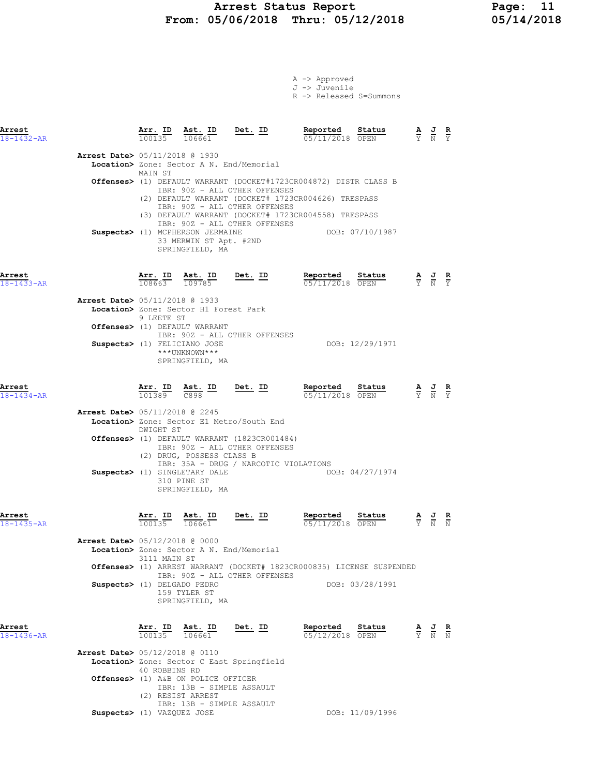### Arrest Status Report Page: 11 From: 05/06/2018 Thru: 05/12/2018 05/14/2018

|                            |                                                                |                                                                                               |                                                                                                                                                                                                                                                                                                              | A -> Approved<br>J -> Juvenile<br>R -> Released S=Summons |                 |                                                                                                 |                                                                                                 |  |
|----------------------------|----------------------------------------------------------------|-----------------------------------------------------------------------------------------------|--------------------------------------------------------------------------------------------------------------------------------------------------------------------------------------------------------------------------------------------------------------------------------------------------------------|-----------------------------------------------------------|-----------------|-------------------------------------------------------------------------------------------------|-------------------------------------------------------------------------------------------------|--|
| Arrest<br>$18 - 1432 - AR$ |                                                                |                                                                                               | $\frac{\texttt{Arr. ID}}{100135}$ $\frac{\texttt{ Ast. ID}}{106661}$ Det. ID                                                                                                                                                                                                                                 | Reported Status<br>$05/11/2018$ OPEN                      |                 |                                                                                                 | $\frac{\mathbf{A}}{\mathbf{Y}}$ $\frac{\mathbf{J}}{\mathbf{N}}$ $\frac{\mathbf{R}}{\mathbf{Y}}$ |  |
|                            | <b>Arrest Date&gt;</b> 05/11/2018 @ 1930                       |                                                                                               | Location> Zone: Sector A N. End/Memorial                                                                                                                                                                                                                                                                     |                                                           |                 |                                                                                                 |                                                                                                 |  |
|                            | MAIN ST                                                        |                                                                                               | Offenses> (1) DEFAULT WARRANT (DOCKET#1723CR004872) DISTR CLASS B<br>IBR: 90Z - ALL OTHER OFFENSES<br>(2) DEFAULT WARRANT (DOCKET# 1723CR004626) TRESPASS                                                                                                                                                    |                                                           |                 |                                                                                                 |                                                                                                 |  |
|                            |                                                                | Suspects> (1) MCPHERSON JERMAINE<br>33 MERWIN ST Apt. #2ND<br>SPRINGFIELD, MA                 | IBR: 90Z - ALL OTHER OFFENSES<br>(3) DEFAULT WARRANT (DOCKET# 1723CR004558) TRESPASS<br>IBR: 90Z - ALL OTHER OFFENSES                                                                                                                                                                                        | DOB: 07/10/1987                                           |                 |                                                                                                 |                                                                                                 |  |
| Arrest<br>$18 - 1433 - AR$ | Arr. ID Ast. ID<br>108663 109785                               |                                                                                               | $Det. ID$                                                                                                                                                                                                                                                                                                    | Reported Status<br>05/11/2018 OPEN                        |                 |                                                                                                 | $\frac{\mathbf{A}}{\mathbf{Y}}$ $\frac{\mathbf{J}}{\mathbf{N}}$ $\frac{\mathbf{R}}{\mathbf{Y}}$ |  |
|                            | <b>Arrest Date&gt; 05/11/2018 @ 1933</b><br>9 LEETE ST         | Location> Zone: Sector H1 Forest Park                                                         |                                                                                                                                                                                                                                                                                                              |                                                           |                 |                                                                                                 |                                                                                                 |  |
|                            |                                                                | Offenses> (1) DEFAULT WARRANT<br>Suspects> (1) FELICIANO JOSE                                 | IBR: 90Z - ALL OTHER OFFENSES                                                                                                                                                                                                                                                                                |                                                           | DOB: 12/29/1971 |                                                                                                 |                                                                                                 |  |
|                            |                                                                | ***UNKNOWN***<br>SPRINGFIELD, MA                                                              |                                                                                                                                                                                                                                                                                                              |                                                           |                 |                                                                                                 |                                                                                                 |  |
| Arrest<br>$18 - 1434 - AR$ |                                                                | Arr. ID Ast. ID Det. ID                                                                       |                                                                                                                                                                                                                                                                                                              | Reported Status<br>05/11/2018 OPEN                        |                 | $\frac{\mathbf{A}}{\mathbf{Y}}$ $\frac{\mathbf{J}}{\mathbf{N}}$ $\frac{\mathbf{R}}{\mathbf{Y}}$ |                                                                                                 |  |
|                            | <b>Arrest Date&gt; 05/11/2018 @ 2245</b><br>DWIGHT ST          |                                                                                               | Location> Zone: Sector E1 Metro/South End                                                                                                                                                                                                                                                                    |                                                           |                 |                                                                                                 |                                                                                                 |  |
|                            |                                                                | (2) DRUG, POSSESS CLASS B                                                                     | Offenses> (1) DEFAULT WARRANT (1823CR001484)<br>IBR: 90Z - ALL OTHER OFFENSES                                                                                                                                                                                                                                |                                                           |                 |                                                                                                 |                                                                                                 |  |
|                            |                                                                | Suspects> (1) SINGLETARY DALE<br>310 PINE ST<br>SPRINGFIELD, MA                               | IBR: 35A - DRUG / NARCOTIC VIOLATIONS                                                                                                                                                                                                                                                                        |                                                           | DOB: 04/27/1974 |                                                                                                 |                                                                                                 |  |
| Arrest<br>18-1435-AR       | $100135$ $106661$                                              |                                                                                               | $\frac{\text{Arr. ID}}{\frac{100000 \text{ F}}{10000 \text{ F}}}$ $\frac{\text{Ret. ID}}{\frac{10000 \text{ F}}}$ $\frac{\text{Reported}}{\text{Re}(10000 \text{ F})}$ $\frac{\text{Status}}{\text{Im}(1000 \text{ F})}$ $\frac{\text{A}}{\text{H}}$ $\frac{\text{J}}{\text{H}}$ $\frac{\text{R}}{\text{H}}$ | 05/11/2018 OPEN                                           |                 |                                                                                                 | Y N N                                                                                           |  |
|                            | <b>Arrest Date&gt;</b> 05/12/2018 @ 0000<br>3111 MAIN ST       |                                                                                               | Location> Zone: Sector A N. End/Memorial                                                                                                                                                                                                                                                                     |                                                           |                 |                                                                                                 |                                                                                                 |  |
|                            |                                                                |                                                                                               | Offenses> (1) ARREST WARRANT (DOCKET# 1823CR000835) LICENSE SUSPENDED<br>IBR: 90Z - ALL OTHER OFFENSES                                                                                                                                                                                                       |                                                           |                 |                                                                                                 |                                                                                                 |  |
|                            | Suspects> (1) DELGADO PEDRO                                    | 159 TYLER ST<br>SPRINGFIELD, MA                                                               |                                                                                                                                                                                                                                                                                                              |                                                           | DOB: 03/28/1991 |                                                                                                 |                                                                                                 |  |
| Arrest<br>$18 - 1436 - AR$ | $\frac{\texttt{Arr.}}{100135}$ $\frac{\texttt{ Ast.}}{106661}$ |                                                                                               | Det. ID                                                                                                                                                                                                                                                                                                      | Reported<br>05/12/2018 OPEN                               | Status          | $\frac{\mathbf{A}}{\mathbf{Y}}$ $\frac{\mathbf{J}}{\mathbf{N}}$ $\frac{\mathbf{R}}{\mathbf{N}}$ |                                                                                                 |  |
|                            | <b>Arrest Date&gt;</b> 05/12/2018 @ 0110<br>40 ROBBINS RD      |                                                                                               | Location> Zone: Sector C East Springfield                                                                                                                                                                                                                                                                    |                                                           |                 |                                                                                                 |                                                                                                 |  |
|                            | (2) RESIST ARREST                                              | Offenses> (1) A&B ON POLICE OFFICER<br>IBR: 13B - SIMPLE ASSAULT<br>IBR: 13B - SIMPLE ASSAULT |                                                                                                                                                                                                                                                                                                              |                                                           |                 |                                                                                                 |                                                                                                 |  |

 $\texttt{Suppects}$  (1) VAZQUEZ JOSE  $\texttt{DOSE}$  DOB: 11/09/1996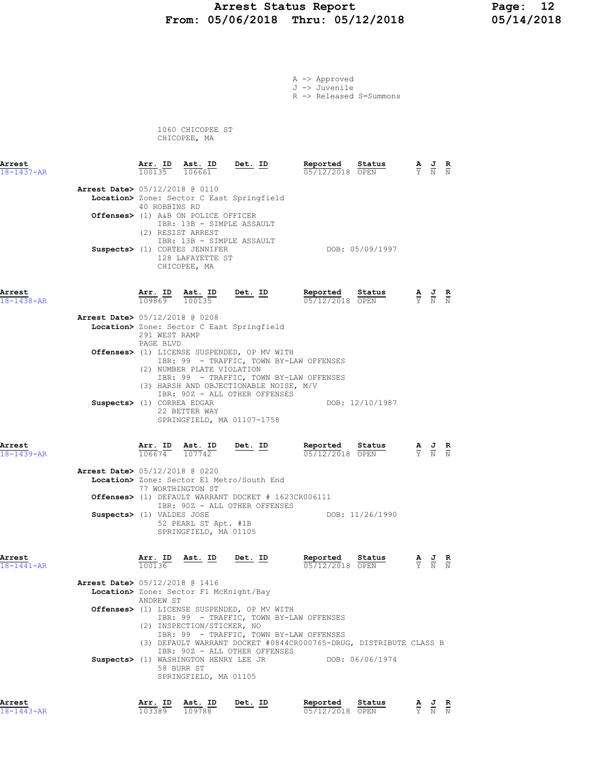### Arrest Status Report 12<br>05/06/2018 Thru: 05/12/2018 15/14/2018 From: 05/06/2018 Thru: 05/12/2018

A -> Approved J -> Juvenile

R -> Released S=Summons

 1060 CHICOPEE ST CHICOPEE, MA

| Arrest<br>$18 - 1437 - AR$ |                                                                       | Arr. ID<br>100135            | Ast. ID<br>106661                                                                                                                                                                       | Det. ID                                                                                                                           | Reported<br>05/12/2018 OPEN                                                                                                                             | Status          |                                                                 | $\frac{\mathbf{A}}{\mathbf{Y}}$ $\frac{\mathbf{J}}{\mathbf{N}}$ | $\frac{R}{N}$ |
|----------------------------|-----------------------------------------------------------------------|------------------------------|-----------------------------------------------------------------------------------------------------------------------------------------------------------------------------------------|-----------------------------------------------------------------------------------------------------------------------------------|---------------------------------------------------------------------------------------------------------------------------------------------------------|-----------------|-----------------------------------------------------------------|-----------------------------------------------------------------|---------------|
|                            | Arrest Date> 05/12/2018 @ 0110                                        | 40 ROBBINS RD                | Offenses> (1) A&B ON POLICE OFFICER<br>IBR: 13B - SIMPLE ASSAULT<br>(2) RESIST ARREST<br>IBR: 13B - SIMPLE ASSAULT<br>Suspects> (1) CORTES JENNIFER<br>128 LAFAYETTE ST<br>CHICOPEE, MA | Location> Zone: Sector C East Springfield                                                                                         |                                                                                                                                                         | DOB: 05/09/1997 |                                                                 |                                                                 |               |
| Arrest<br>$18 - 1438 - AR$ |                                                                       | Arr. ID<br>109869            | Ast. ID<br>100135                                                                                                                                                                       | <u>Det. ID</u>                                                                                                                    | Reported<br>05/12/2018 OPEN                                                                                                                             | Status          |                                                                 | $\frac{\mathbf{A}}{\mathbf{Y}}$ $\frac{\mathbf{J}}{\mathbf{N}}$ | $\frac{R}{N}$ |
|                            | Arrest Date> 05/12/2018 @ 0208                                        | 291 WEST RAMP                |                                                                                                                                                                                         | Location> Zone: Sector C East Springfield                                                                                         |                                                                                                                                                         |                 |                                                                 |                                                                 |               |
|                            |                                                                       | PAGE BLVD                    | (2) NUMBER PLATE VIOLATION                                                                                                                                                              | Offenses> (1) LICENSE SUSPENDED, OP MV WITH<br>(3) HARSH AND OBJECTIONABLE NOISE, M/V                                             | IBR: 99 - TRAFFIC, TOWN BY-LAW OFFENSES<br>IBR: 99 - TRAFFIC, TOWN BY-LAW OFFENSES                                                                      |                 |                                                                 |                                                                 |               |
|                            | Suspects> (1) CORREA EDGAR                                            |                              | 22 BETTER WAY                                                                                                                                                                           | IBR: 90Z - ALL OTHER OFFENSES<br>SPRINGFIELD, MA 01107-1758                                                                       |                                                                                                                                                         | DOB: 12/10/1987 |                                                                 |                                                                 |               |
| Arrest<br>$18 - 1439 - AR$ |                                                                       |                              | $\frac{\texttt{Arr.}}{106674}$ $\frac{\texttt{ Ast.}}{107742}$ Det. ID                                                                                                                  |                                                                                                                                   | Reported<br>$05/12/2018$ OPEN                                                                                                                           | Status          | $\frac{\mathbf{A}}{\mathbf{Y}}$ $\frac{\mathbf{J}}{\mathbf{N}}$ |                                                                 |               |
|                            | <b>Arrest Date&gt;</b> 05/12/2018 @ 0220<br>Suspects> (1) VALDES JOSE | 77 WORTHINGTON ST            | 52 PEARL ST Apt. #1B<br>SPRINGFIELD, MA 01105                                                                                                                                           | Location> Zone: Sector E1 Metro/South End<br>Offenses> (1) DEFAULT WARRANT DOCKET # 1623CR006111<br>IBR: 90Z - ALL OTHER OFFENSES | DOB: 11/26/1990                                                                                                                                         |                 |                                                                 |                                                                 |               |
| Arrest<br>18-1441-AR       |                                                                       | $\frac{\text{Arr.}}{100136}$ | Ast. ID Det. ID                                                                                                                                                                         |                                                                                                                                   | Reported<br>05/12/2018 OPEN                                                                                                                             | Status          |                                                                 | $\frac{\mathbf{A}}{\mathbf{Y}}$ $\frac{\mathbf{J}}{\mathbf{N}}$ | $\frac{R}{N}$ |
|                            | <b>Arrest Date&gt;</b> 05/12/2018 @ 1416                              | ANDREW ST                    | Location> Zone: Sector F1 McKnight/Bay                                                                                                                                                  | Offenses> (1) LICENSE SUSPENDED, OP MV WITH                                                                                       |                                                                                                                                                         |                 |                                                                 |                                                                 |               |
|                            |                                                                       |                              | (2) INSPECTION/STICKER, NO<br>Suspects> (1) WASHINGTON HENRY LEE JR<br>58 BURR ST<br>SPRINGFIELD, MA 01105                                                                              | IBR: 90Z - ALL OTHER OFFENSES                                                                                                     | IBR: 99 - TRAFFIC, TOWN BY-LAW OFFENSES<br>IBR: 99 - TRAFFIC, TOWN BY-LAW OFFENSES<br>(3) DEFAULT WARRANT DOCKET #0844CR000765-DRUG, DISTRIBUTE CLASS B | DOB: 06/06/1974 |                                                                 |                                                                 |               |
| Arrest                     |                                                                       | Arr. ID                      | Ast. ID                                                                                                                                                                                 | Det. ID                                                                                                                           | Reported                                                                                                                                                | Status          |                                                                 | AJR                                                             |               |

18-1443-AR 103389 109788 05/12/2018 OPEN Y N N